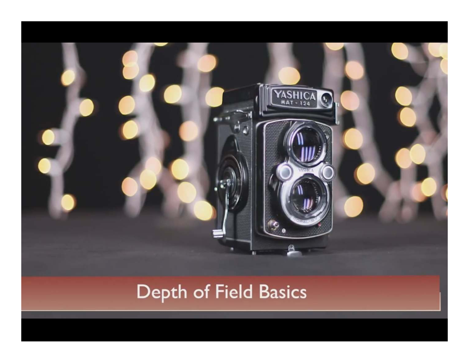

### Depth of Field Basics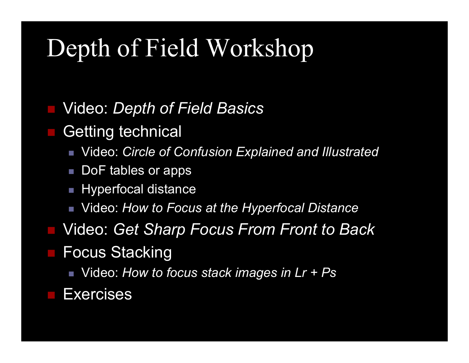## Depth of Field Workshop

Video: *Depth of Field Basics*

Getting technical

Video: *Circle of Confusion Explained and Illustrated*

- DoF tables or apps
- Hyperfocal distance
- Video: *How to Focus at the Hyperfocal Distance*
- Video: *Get Sharp Focus From Front to Back*

Focus Stacking

Video: *How to focus stack images in Lr + Ps*

**Exercises**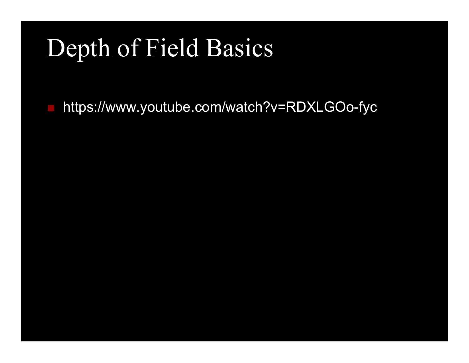# Depth of Field Basics

https://www.youtube.com/watch?v=RDXLGOo-fyc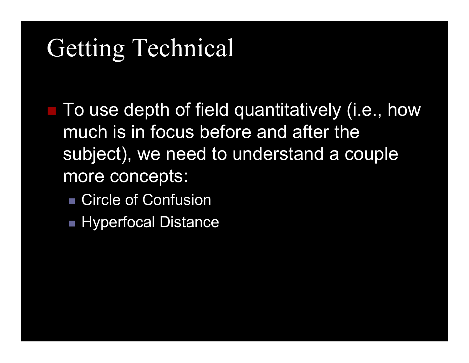# Getting Technical

■ To use depth of field quantitatively (i.e., how much is in focus before and after the subject), we need to understand a couple more concepts:

- Circle of Confusion
- Hyperfocal Distance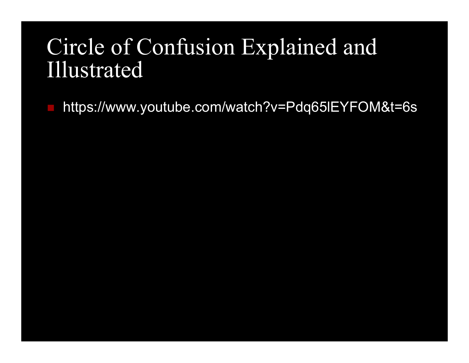### Circle of Confusion Explained and Illustrated

https://www.youtube.com/watch?v=Pdq65lEYFOM&t=6s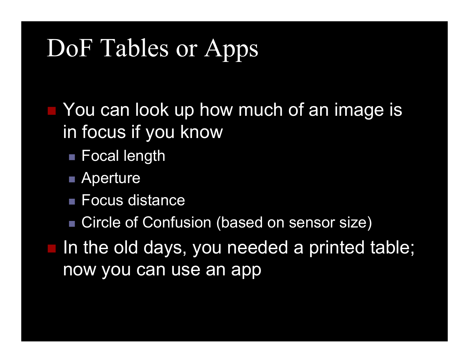# DoF Tables or Apps

**Nou can look up how much of an image is** in focus if you know

- $\blacksquare$  Focal length
- Aperture
- Focus distance
- Circle of Confusion (based on sensor size)
- In the old days, you needed a printed table; now you can use an app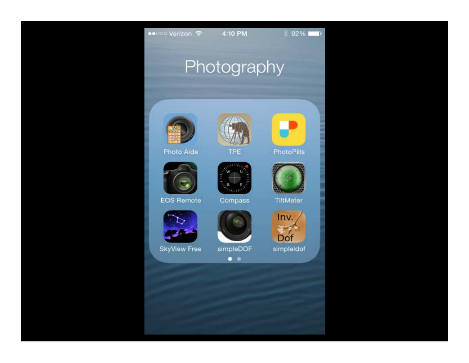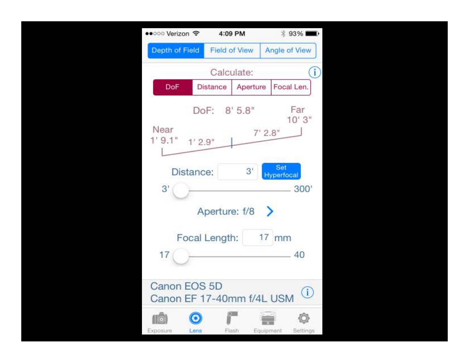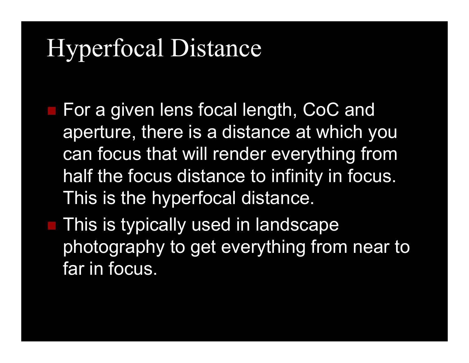# Hyperfocal Distance

- For a given lens focal length, CoC and aperture, there is a distance at which you can focus that will render everything from half the focus distance to infinity in focus. This is the hyperfocal distance.
- This is typically used in landscape photography to get everything from near to far in focus.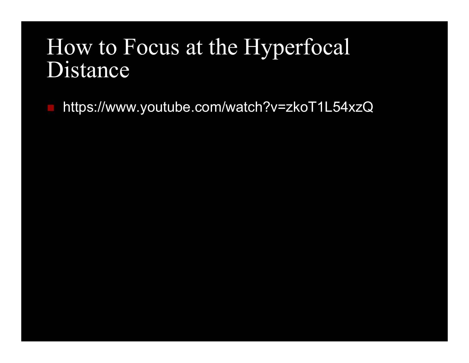#### How to Focus at the HyperfocalDistance

https://www.youtube.com/watch?v=zkoT1L54xzQ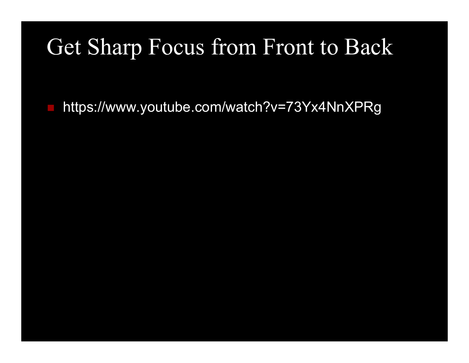### Get Sharp Focus from Front to Back

https://www.youtube.com/watch?v=73Yx4NnXPRg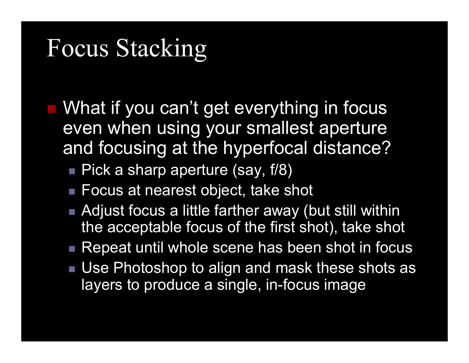### Focus Stacking

 What if you can't get everything in focus even when using your smallest aperture and focusing at the hyperfocal distance?

■ Pick a sharp aperture (say, f/8)

- Focus at nearest object, take shot
- Adjust focus a little farther away (but still within the acceptable focus of the first shot), take shot
- $\blacksquare$  Repeat until whole scene has been shot in focus
- Use Photoshop to align and mask these shots as layers to produce a single, in-focus image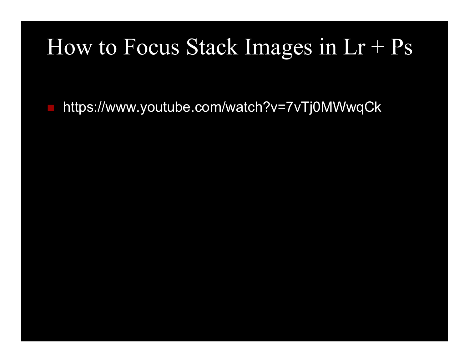### How to Focus Stack Images in  $Lr + Ps$

https://www.youtube.com/watch?v=7vTj0MWwqCk